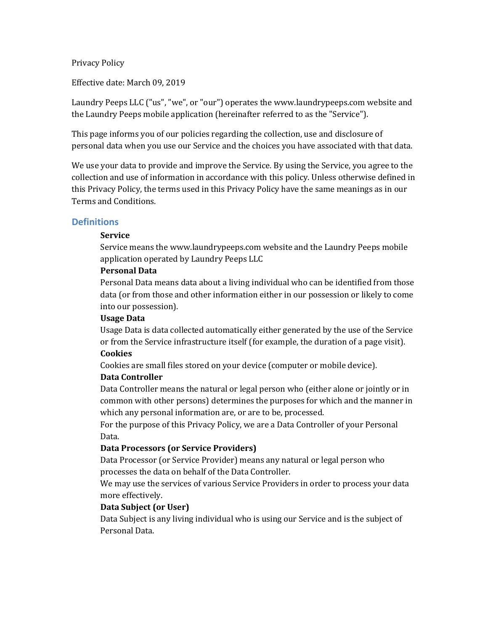Privacy Policy

Effective date: March 09, 2019

Laundry Peeps LLC ("us", "we", or "our") operates the www.laundrypeeps.com website and the Laundry Peeps mobile application (hereinafter referred to as the "Service").

This page informs you of our policies regarding the collection, use and disclosure of personal data when you use our Service and the choices you have associated with that data.

We use your data to provide and improve the Service. By using the Service, you agree to the collection and use of information in accordance with this policy. Unless otherwise defined in this Privacy Policy, the terms used in this Privacy Policy have the same meanings as in our Terms and Conditions.

### **Definitions**

### **Service**

Service means the www.laundrypeeps.com website and the Laundry Peeps mobile application operated by Laundry Peeps LLC

#### **Personal Data**

Personal Data means data about a living individual who can be identified from those data (or from those and other information either in our possession or likely to come into our possession).

#### **Usage Data**

Usage Data is data collected automatically either generated by the use of the Service or from the Service infrastructure itself (for example, the duration of a page visit).

### **Cookies**

Cookies are small files stored on your device (computer or mobile device).

### **Data Controller**

Data Controller means the natural or legal person who (either alone or jointly or in common with other persons) determines the purposes for which and the manner in which any personal information are, or are to be, processed.

For the purpose of this Privacy Policy, we are a Data Controller of your Personal Data.

### **Data Processors (or Service Providers)**

Data Processor (or Service Provider) means any natural or legal person who processes the data on behalf of the Data Controller.

We may use the services of various Service Providers in order to process your data more effectively.

### **Data Subject (or User)**

Data Subject is any living individual who is using our Service and is the subject of Personal Data.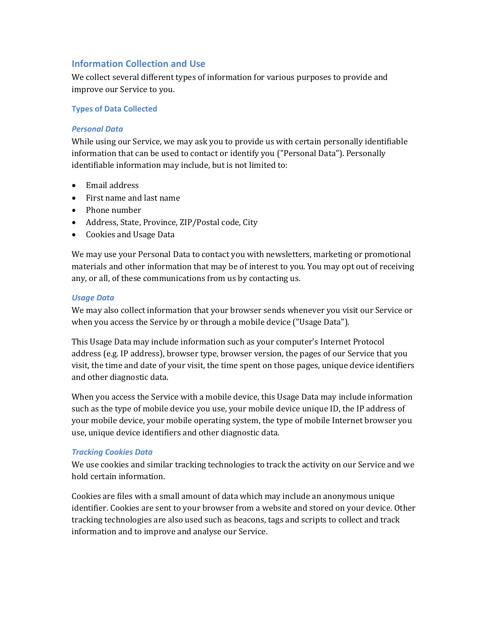## **Information Collection and Use**

We collect several different types of information for various purposes to provide and improve our Service to you.

#### **Types of Data Collected**

#### *Personal Data*

While using our Service, we may ask you to provide us with certain personally identifiable information that can be used to contact or identify you ("Personal Data"). Personally identifiable information may include, but is not limited to:

- Email address
- First name and last name
- Phone number
- Address, State, Province, ZIP/Postal code, City
- Cookies and Usage Data

We may use your Personal Data to contact you with newsletters, marketing or promotional materials and other information that may be of interest to you. You may opt out of receiving any, or all, of these communications from us by contacting us.

#### *Usage Data*

We may also collect information that your browser sends whenever you visit our Service or when you access the Service by or through a mobile device ("Usage Data").

This Usage Data may include information such as your computer's Internet Protocol address (e.g. IP address), browser type, browser version, the pages of our Service that you visit, the time and date of your visit, the time spent on those pages, unique device identifiers and other diagnostic data.

When you access the Service with a mobile device, this Usage Data may include information such as the type of mobile device you use, your mobile device unique ID, the IP address of your mobile device, your mobile operating system, the type of mobile Internet browser you use, unique device identifiers and other diagnostic data.

#### *Tracking Cookies Data*

We use cookies and similar tracking technologies to track the activity on our Service and we hold certain information.

Cookies are files with a small amount of data which may include an anonymous unique identifier. Cookies are sent to your browser from a website and stored on your device. Other tracking technologies are also used such as beacons, tags and scripts to collect and track information and to improve and analyse our Service.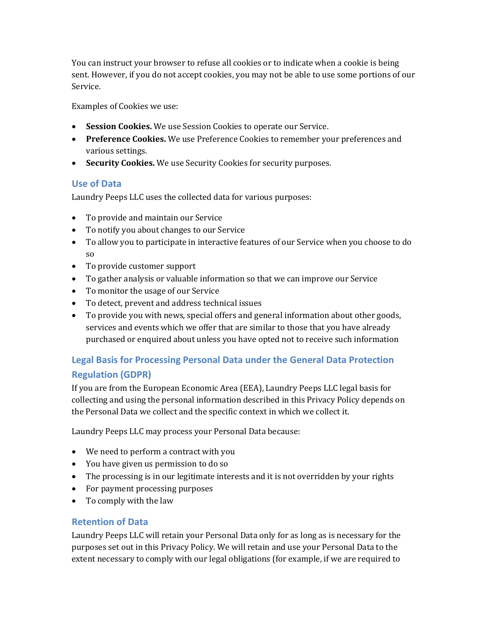You can instruct your browser to refuse all cookies or to indicate when a cookie is being sent. However, if you do not accept cookies, you may not be able to use some portions of our Service.

Examples of Cookies we use:

- **Session Cookies.** We use Session Cookies to operate our Service.
- **Preference Cookies.** We use Preference Cookies to remember your preferences and various settings.
- **Security Cookies.** We use Security Cookies for security purposes.

## **Use of Data**

Laundry Peeps LLC uses the collected data for various purposes:

- To provide and maintain our Service
- To notify you about changes to our Service
- To allow you to participate in interactive features of our Service when you choose to do so
- To provide customer support
- To gather analysis or valuable information so that we can improve our Service
- To monitor the usage of our Service
- To detect, prevent and address technical issues
- To provide you with news, special offers and general information about other goods, services and events which we offer that are similar to those that you have already purchased or enquired about unless you have opted not to receive such information

# **Legal Basis for Processing Personal Data under the General Data Protection Regulation (GDPR)**

If you are from the European Economic Area (EEA), Laundry Peeps LLC legal basis for collecting and using the personal information described in this Privacy Policy depends on the Personal Data we collect and the specific context in which we collect it.

Laundry Peeps LLC may process your Personal Data because:

- We need to perform a contract with you
- You have given us permission to do so
- The processing is in our legitimate interests and it is not overridden by your rights
- For payment processing purposes
- To comply with the law

## **Retention of Data**

Laundry Peeps LLC will retain your Personal Data only for as long as is necessary for the purposes set out in this Privacy Policy. We will retain and use your Personal Data to the extent necessary to comply with our legal obligations (for example, if we are required to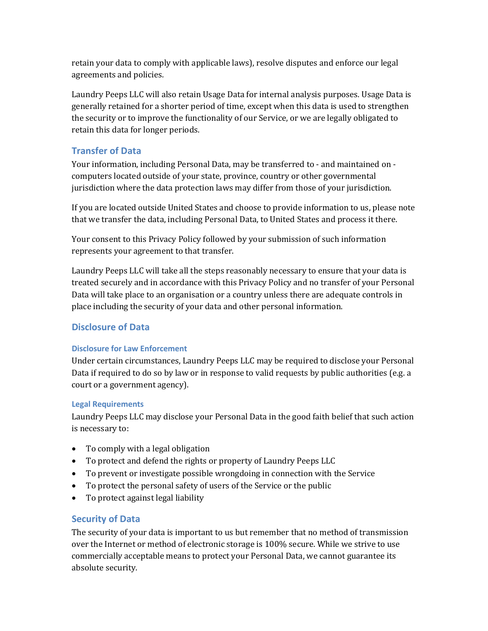retain your data to comply with applicable laws), resolve disputes and enforce our legal agreements and policies.

Laundry Peeps LLC will also retain Usage Data for internal analysis purposes. Usage Data is generally retained for a shorter period of time, except when this data is used to strengthen the security or to improve the functionality of our Service, or we are legally obligated to retain this data for longer periods.

# **Transfer of Data**

Your information, including Personal Data, may be transferred to - and maintained on computers located outside of your state, province, country or other governmental jurisdiction where the data protection laws may differ from those of your jurisdiction.

If you are located outside United States and choose to provide information to us, please note that we transfer the data, including Personal Data, to United States and process it there.

Your consent to this Privacy Policy followed by your submission of such information represents your agreement to that transfer.

Laundry Peeps LLC will take all the steps reasonably necessary to ensure that your data is treated securely and in accordance with this Privacy Policy and no transfer of your Personal Data will take place to an organisation or a country unless there are adequate controls in place including the security of your data and other personal information.

# **Disclosure of Data**

## **Disclosure for Law Enforcement**

Under certain circumstances, Laundry Peeps LLC may be required to disclose your Personal Data if required to do so by law or in response to valid requests by public authorities (e.g. a court or a government agency).

### **Legal Requirements**

Laundry Peeps LLC may disclose your Personal Data in the good faith belief that such action is necessary to:

- To comply with a legal obligation
- To protect and defend the rights or property of Laundry Peeps LLC
- To prevent or investigate possible wrongdoing in connection with the Service
- To protect the personal safety of users of the Service or the public
- To protect against legal liability

# **Security of Data**

The security of your data is important to us but remember that no method of transmission over the Internet or method of electronic storage is 100% secure. While we strive to use commercially acceptable means to protect your Personal Data, we cannot guarantee its absolute security.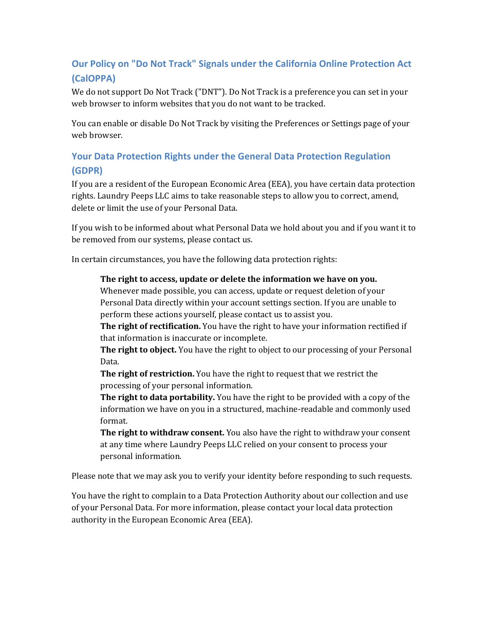# **Our Policy on "Do Not Track" Signals under the California Online Protection Act (CalOPPA)**

We do not support Do Not Track ("DNT"). Do Not Track is a preference you can set in your web browser to inform websites that you do not want to be tracked.

You can enable or disable Do Not Track by visiting the Preferences or Settings page of your web browser.

# **Your Data Protection Rights under the General Data Protection Regulation (GDPR)**

If you are a resident of the European Economic Area (EEA), you have certain data protection rights. Laundry Peeps LLC aims to take reasonable steps to allow you to correct, amend, delete or limit the use of your Personal Data.

If you wish to be informed about what Personal Data we hold about you and if you want it to be removed from our systems, please contact us.

In certain circumstances, you have the following data protection rights:

### **The right to access, update or delete the information we have on you.**

Whenever made possible, you can access, update or request deletion of your Personal Data directly within your account settings section. If you are unable to perform these actions yourself, please contact us to assist you.

**The right of rectification.** You have the right to have your information rectified if that information is inaccurate or incomplete.

**The right to object.** You have the right to object to our processing of your Personal Data.

**The right of restriction.** You have the right to request that we restrict the processing of your personal information.

**The right to data portability.** You have the right to be provided with a copy of the information we have on you in a structured, machine-readable and commonly used format.

**The right to withdraw consent.** You also have the right to withdraw your consent at any time where Laundry Peeps LLC relied on your consent to process your personal information.

Please note that we may ask you to verify your identity before responding to such requests.

You have the right to complain to a Data Protection Authority about our collection and use of your Personal Data. For more information, please contact your local data protection authority in the European Economic Area (EEA).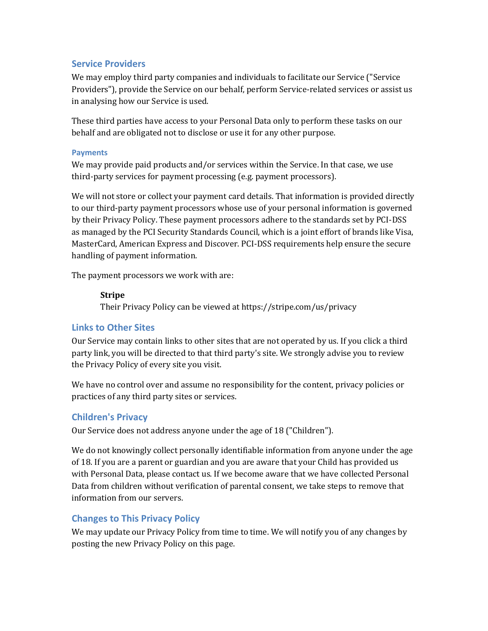## **Service Providers**

We may employ third party companies and individuals to facilitate our Service ("Service Providers"), provide the Service on our behalf, perform Service-related services or assist us in analysing how our Service is used.

These third parties have access to your Personal Data only to perform these tasks on our behalf and are obligated not to disclose or use it for any other purpose.

### **Payments**

We may provide paid products and/or services within the Service. In that case, we use third-party services for payment processing (e.g. payment processors).

We will not store or collect your payment card details. That information is provided directly to our third-party payment processors whose use of your personal information is governed by their Privacy Policy. These payment processors adhere to the standards set by PCI-DSS as managed by the PCI Security Standards Council, which is a joint effort of brands like Visa, MasterCard, American Express and Discover. PCI-DSS requirements help ensure the secure handling of payment information.

The payment processors we work with are:

## **Stripe** Their Privacy Policy can be viewed at<https://stripe.com/us/privacy>

## **Links to Other Sites**

Our Service may contain links to other sites that are not operated by us. If you click a third party link, you will be directed to that third party's site. We strongly advise you to review the Privacy Policy of every site you visit.

We have no control over and assume no responsibility for the content, privacy policies or practices of any third party sites or services.

# **Children's Privacy**

Our Service does not address anyone under the age of 18 ("Children").

We do not knowingly collect personally identifiable information from anyone under the age of 18. If you are a parent or guardian and you are aware that your Child has provided us with Personal Data, please contact us. If we become aware that we have collected Personal Data from children without verification of parental consent, we take steps to remove that information from our servers.

# **Changes to This Privacy Policy**

We may update our Privacy Policy from time to time. We will notify you of any changes by posting the new Privacy Policy on this page.